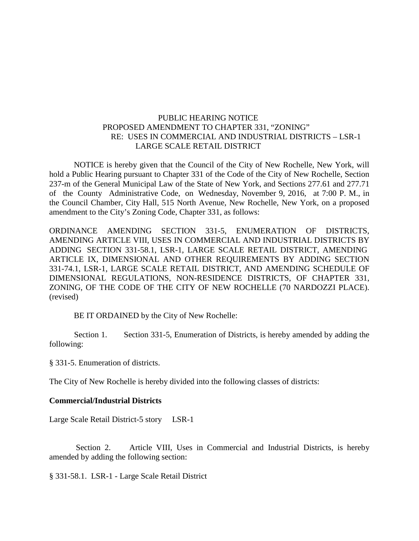## PUBLIC HEARING NOTICE PROPOSED AMENDMENT TO CHAPTER 331, "ZONING" RE: USES IN COMMERCIAL AND INDUSTRIAL DISTRICTS – LSR-1 LARGE SCALE RETAIL DISTRICT

NOTICE is hereby given that the Council of the City of New Rochelle, New York, will hold a Public Hearing pursuant to Chapter 331 of the Code of the City of New Rochelle, Section 237-m of the General Municipal Law of the State of New York, and Sections 277.61 and 277.71 of the County Administrative Code, on Wednesday, November 9, 2016, at 7:00 P. M., in the Council Chamber, City Hall, 515 North Avenue, New Rochelle, New York, on a proposed amendment to the City's Zoning Code, Chapter 331, as follows:

ORDINANCE AMENDING SECTION 331-5, ENUMERATION OF DISTRICTS, AMENDING ARTICLE VIII, USES IN COMMERCIAL AND INDUSTRIAL DISTRICTS BY ADDING SECTION 331-58.1, LSR-1, LARGE SCALE RETAIL DISTRICT, AMENDING ARTICLE IX, DIMENSIONAL AND OTHER REQUIREMENTS BY ADDING SECTION 331-74.1, LSR-1, LARGE SCALE RETAIL DISTRICT, AND AMENDING SCHEDULE OF DIMENSIONAL REGULATIONS, NON-RESIDENCE DISTRICTS, OF CHAPTER 331, ZONING, OF THE CODE OF THE CITY OF NEW ROCHELLE (70 NARDOZZI PLACE). (revised)

BE IT ORDAINED by the City of New Rochelle:

 Section 1. Section 331-5, Enumeration of Districts, is hereby amended by adding the following:

§ 331-5. Enumeration of districts.

The City of New Rochelle is hereby divided into the following classes of districts:

## **Commercial/Industrial Districts**

Large Scale Retail District-5 story LSR-1

 Section 2. Article VIII, Uses in Commercial and Industrial Districts, is hereby amended by adding the following section:

§ 331-58.1. LSR-1 - Large Scale Retail District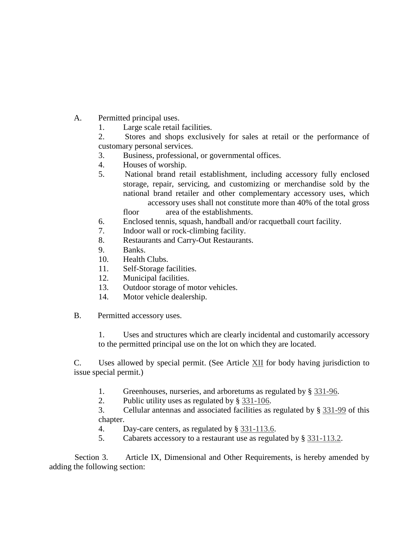- A. Permitted principal uses.
	- 1. Large scale retail facilities.

2. Stores and shops exclusively for sales at retail or the performance of customary personal services.

- 3. Business, professional, or governmental offices.
- 4. Houses of worship.
- 5. National brand retail establishment, including accessory fully enclosed storage, repair, servicing, and customizing or merchandise sold by the national brand retailer and other complementary accessory uses, which accessory uses shall not constitute more than 40% of the total gross floor area of the establishments.
- 6. Enclosed tennis, squash, handball and/or racquetball court facility.
- 7. Indoor wall or rock-climbing facility.
- 8. Restaurants and Carry-Out Restaurants.
- 9. Banks.
- 10. Health Clubs.
- 11. Self-Storage facilities.
- 12. Municipal facilities.
- 13. Outdoor storage of motor vehicles.
- 14. Motor vehicle dealership.
- B. Permitted accessory uses.

1. Uses and structures which are clearly incidental and customarily accessory to the permitted principal use on the lot on which they are located.

C. Uses allowed by special permit. (See Article [XII](http://www.ecode360.com/6731644#6731644) for body having jurisdiction to issue special permit.)

- 1. Greenhouses, nurseries, and arboretums as regulated by § [331-96.](http://www.ecode360.com/6731745#6731745)
- 2. Public utility uses as regulated by § [331-106.](http://www.ecode360.com/6732089#6732089)

3. Cellular antennas and associated facilities as regulated by § [331-99](http://www.ecode360.com/6731798#6731798) of this chapter.

- 4. Day-care centers, as regulated by § [331-113.6.](http://www.ecode360.com/6732229#6732229)
- 5. Cabarets accessory to a restaurant use as regulated by § [331-113.2.](http://www.ecode360.com/6732194#6732194)

 Section 3. Article IX, Dimensional and Other Requirements, is hereby amended by adding the following section: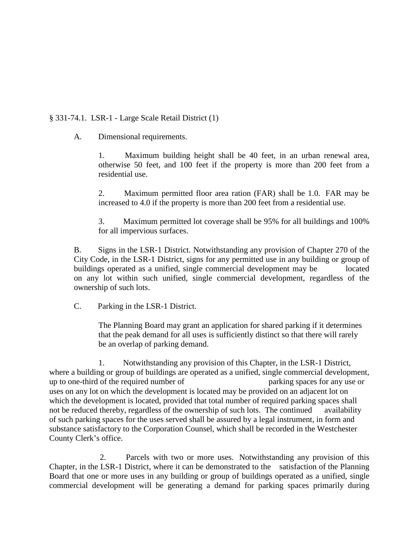## § 331-74.1. LSR-1 - Large Scale Retail District (1)

A. Dimensional requirements.

1. Maximum building height shall be 40 feet, in an urban renewal area, otherwise 50 feet, and 100 feet if the property is more than 200 feet from a residential use.

2. Maximum permitted floor area ration (FAR) shall be 1.0. FAR may be increased to 4.0 if the property is more than 200 feet from a residential use.

3. Maximum permitted lot coverage shall be 95% for all buildings and 100% for all impervious surfaces.

B. Signs in the LSR-1 District. Notwithstanding any provision of Chapter 270 of the City Code, in the LSR-1 District, signs for any permitted use in any building or group of buildings operated as a unified, single commercial development may be located on any lot within such unified, single commercial development, regardless of the ownership of such lots.

C. Parking in the LSR-1 District.

 The Planning Board may grant an application for shared parking if it determines that the peak demand for all uses is sufficiently distinct so that there will rarely be an overlap of parking demand.

 1. Notwithstanding any provision of this Chapter, in the LSR-1 District, where a building or group of buildings are operated as a unified, single commercial development, up to one-third of the required number of parking spaces for any use or uses on any lot on which the development is located may be provided on an adjacent lot on which the development is located, provided that total number of required parking spaces shall not be reduced thereby, regardless of the ownership of such lots. The continued availability of such parking spaces for the uses served shall be assured by a legal instrument, in form and substance satisfactory to the Corporation Counsel, which shall be recorded in the Westchester County Clerk's office.

 2. Parcels with two or more uses. Notwithstanding any provision of this Chapter, in the LSR-1 District, where it can be demonstrated to the satisfaction of the Planning Board that one or more uses in any building or group of buildings operated as a unified, single commercial development will be generating a demand for parking spaces primarily during